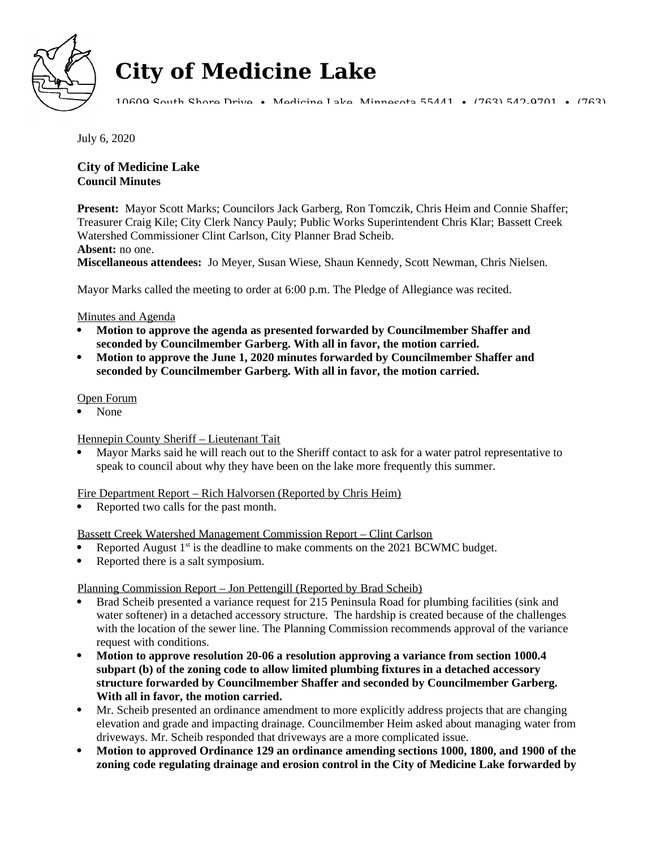

# **City of Medicine Lake**

10609 South Shore Drive • Medicine Lake, Minnesota 55441 • (763) 542-9701 • (763)

July 6, 2020

# **City of Medicine Lake Council Minutes**

**Present:** Mayor Scott Marks; Councilors Jack Garberg, Ron Tomczik, Chris Heim and Connie Shaffer; Treasurer Craig Kile; City Clerk Nancy Pauly; Public Works Superintendent Chris Klar; Bassett Creek Watershed Commissioner Clint Carlson, City Planner Brad Scheib.

**Absent:** no one.

**Miscellaneous attendees:** Jo Meyer, Susan Wiese, Shaun Kennedy, Scott Newman, Chris Nielsen.

Mayor Marks called the meeting to order at 6:00 p.m. The Pledge of Allegiance was recited.

# Minutes and Agenda

- **Motion to approve the agenda as presented forwarded by Councilmember Shaffer and seconded by Councilmember Garberg. With all in favor, the motion carried.**
- **Motion to approve the June 1, 2020 minutes forwarded by Councilmember Shaffer and seconded by Councilmember Garberg. With all in favor, the motion carried.**

# Open Forum

None

# Hennepin County Sheriff – Lieutenant Tait

 Mayor Marks said he will reach out to the Sheriff contact to ask for a water patrol representative to speak to council about why they have been on the lake more frequently this summer.

# Fire Department Report – Rich Halvorsen (Reported by Chris Heim)

Reported two calls for the past month.

Bassett Creek Watershed Management Commission Report – Clint Carlson

- Reported August 1<sup>st</sup> is the deadline to make comments on the 2021 BCWMC budget.
- Reported there is a salt symposium.

## Planning Commission Report – Jon Pettengill (Reported by Brad Scheib)

- Brad Scheib presented a variance request for 215 Peninsula Road for plumbing facilities (sink and water softener) in a detached accessory structure. The hardship is created because of the challenges with the location of the sewer line. The Planning Commission recommends approval of the variance request with conditions.
- **Motion to approve resolution 20-06 a resolution approving a variance from section 1000.4 subpart (b) of the zoning code to allow limited plumbing fixtures in a detached accessory structure forwarded by Councilmember Shaffer and seconded by Councilmember Garberg. With all in favor, the motion carried.**
- Mr. Scheib presented an ordinance amendment to more explicitly address projects that are changing elevation and grade and impacting drainage. Councilmember Heim asked about managing water from driveways. Mr. Scheib responded that driveways are a more complicated issue.
- **Motion to approved Ordinance 129 an ordinance amending sections 1000, 1800, and 1900 of the zoning code regulating drainage and erosion control in the City of Medicine Lake forwarded by**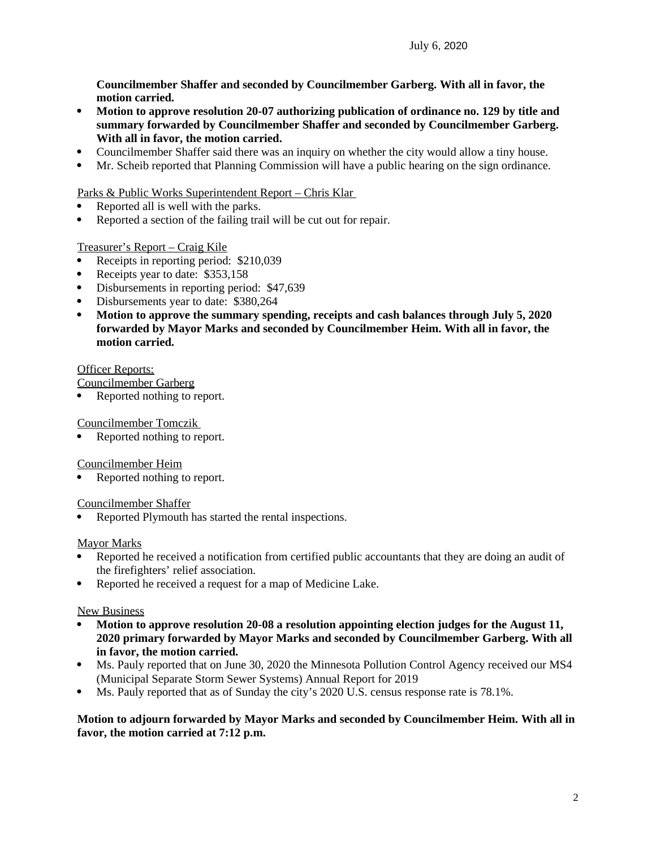**Councilmember Shaffer and seconded by Councilmember Garberg. With all in favor, the motion carried.** 

- **Motion to approve resolution 20-07 authorizing publication of ordinance no. 129 by title and summary forwarded by Councilmember Shaffer and seconded by Councilmember Garberg. With all in favor, the motion carried.**
- Councilmember Shaffer said there was an inquiry on whether the city would allow a tiny house.
- Mr. Scheib reported that Planning Commission will have a public hearing on the sign ordinance.

Parks & Public Works Superintendent Report – Chris Klar

- Reported all is well with the parks.
- Reported a section of the failing trail will be cut out for repair.

#### Treasurer's Report – Craig Kile

- Receipts in reporting period: \$210,039
- Receipts year to date: \$353,158
- Disbursements in reporting period: \$47,639
- Disbursements year to date: \$380,264
- **Motion to approve the summary spending, receipts and cash balances through July 5, 2020 forwarded by Mayor Marks and seconded by Councilmember Heim. With all in favor, the motion carried.**

#### Officer Reports:

Councilmember Garberg

Reported nothing to report.

#### Councilmember Tomczik

Reported nothing to report.

#### Councilmember Heim

Reported nothing to report.

#### Councilmember Shaffer

Reported Plymouth has started the rental inspections.

#### Mayor Marks

- Reported he received a notification from certified public accountants that they are doing an audit of the firefighters' relief association.
- Reported he received a request for a map of Medicine Lake.

## New Business

- **Motion to approve resolution 20-08 a resolution appointing election judges for the August 11, 2020 primary forwarded by Mayor Marks and seconded by Councilmember Garberg. With all in favor, the motion carried.**
- Ms. Pauly reported that on June 30, 2020 the Minnesota Pollution Control Agency received our MS4 (Municipal Separate Storm Sewer Systems) Annual Report for 2019
- Ms. Pauly reported that as of Sunday the city's 2020 U.S. census response rate is 78.1%.

## **Motion to adjourn forwarded by Mayor Marks and seconded by Councilmember Heim. With all in favor, the motion carried at 7:12 p.m.**